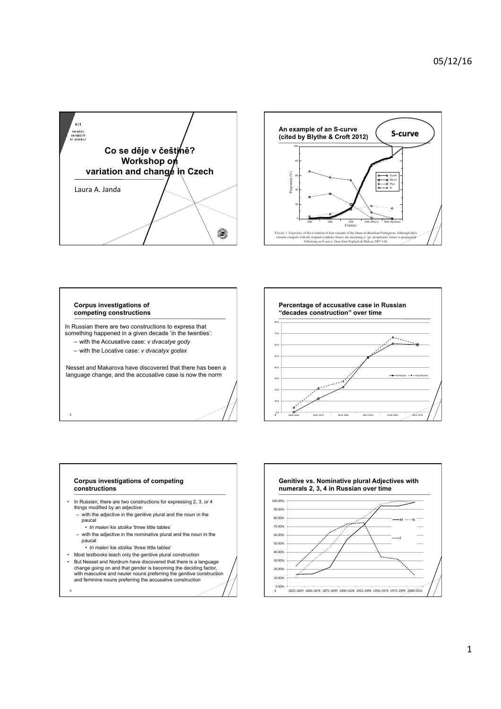



## **Corpus investigations of competing constructions**

3

5

In Russian there are two constructions to express that something happened in a given decade 'in the twenties':

- with the Accusative case: *v dvacatye gody*
- with the Locative case: *v dvacatyx godax*

Nesset and Makarova have discovered that there has been a language change, and the accusative case is now the norm



overall changes described display an S-shaped curve despite the variation in the behav-

## **Corpus investigations of competing constructions**

- In Russian, there are two constructions for expressing 2, 3, or 4 things modified by an adjective:
- with the adjective in the genitive plural and the noun in the paucal
	- *tri malen´kix stolika* 'three little tables'
- with the adjective in the nominative plural and the noun in the paucal
- *tri malen´kie stolika* 'three little tables'
- Most textbooks teach only the genitive plural construction • But Nesset and Nordrum have discovered that there is a language change going on and that gender is becoming the deciding factor, with masculine and neuter nouns preferring the genitive construction and feminine nouns preferring the accusative construction